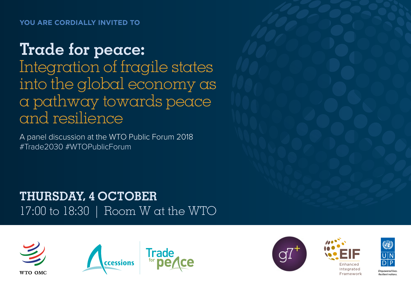# **Trade for peace:**

Integration of fragile states into the global economy as a pathway towards peace and resilience

A panel discussion at the WTO Public Forum 2018 #Trade2030 #WTOPublicForum

**THURSDAY, 4 OCTOBER**  17:00 to 18:30 | Room W at the WTO









**Empowered live** Resilient nations.